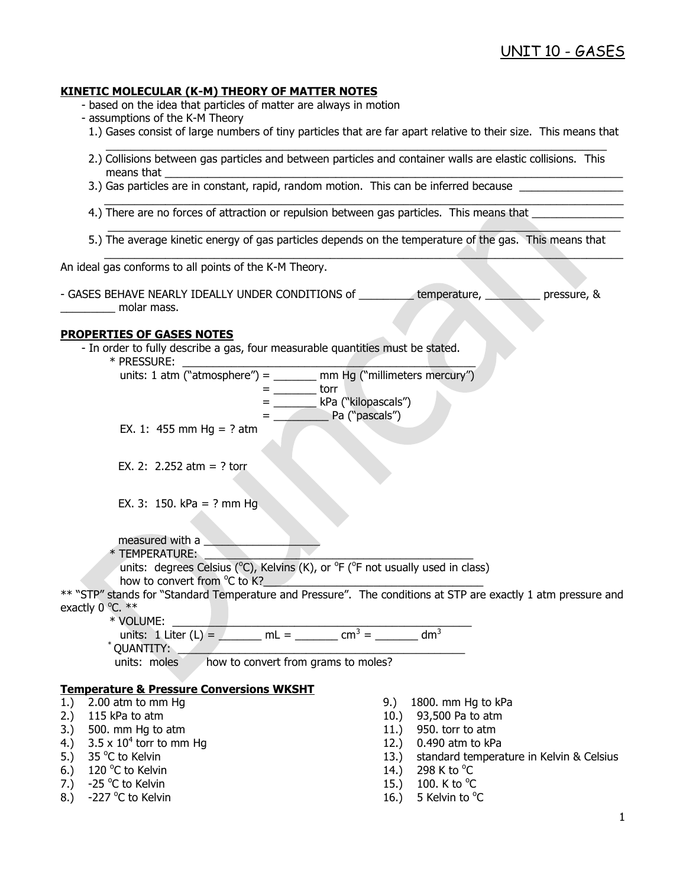### **KINETIC MOLECULAR (K-M) THEORY OF MATTER NOTES**

- based on the idea that particles of matter are always in motion
- assumptions of the K-M Theory
	- 1.) Gases consist of large numbers of tiny particles that are far apart relative to their size. This means that
- 2.) Collisions between gas particles and between particles and container walls are elastic collisions. This means that  $\_\_$

 $\mathcal{L}_\mathcal{L} = \mathcal{L}_\mathcal{L} = \mathcal{L}_\mathcal{L} = \mathcal{L}_\mathcal{L} = \mathcal{L}_\mathcal{L} = \mathcal{L}_\mathcal{L} = \mathcal{L}_\mathcal{L} = \mathcal{L}_\mathcal{L} = \mathcal{L}_\mathcal{L} = \mathcal{L}_\mathcal{L} = \mathcal{L}_\mathcal{L} = \mathcal{L}_\mathcal{L} = \mathcal{L}_\mathcal{L} = \mathcal{L}_\mathcal{L} = \mathcal{L}_\mathcal{L} = \mathcal{L}_\mathcal{L} = \mathcal{L}_\mathcal{L}$ 

- 3.) Gas particles are in constant, rapid, random motion. This can be inferred because
- 4.) There are no forces of attraction or repulsion between gas particles. This means that
- 5.) The average kinetic energy of gas particles depends on the temperature of the gas. This means that

 $\mathcal{L} = \{ \mathcal{L} \mid \mathcal{L} = \{ \mathcal{L} \mid \mathcal{L} = \{ \mathcal{L} \mid \mathcal{L} = \{ \mathcal{L} \mid \mathcal{L} = \{ \mathcal{L} \mid \mathcal{L} = \{ \mathcal{L} \mid \mathcal{L} = \{ \mathcal{L} \mid \mathcal{L} = \{ \mathcal{L} \mid \mathcal{L} = \{ \mathcal{L} \mid \mathcal{L} = \{ \mathcal{L} \mid \mathcal{L} = \{ \mathcal{L} \mid \mathcal{L} = \{ \mathcal{L} \mid \mathcal{L} = \{ \mathcal{L} \$ 

 $\_$  , and the set of the set of the set of the set of the set of the set of the set of the set of the set of the set of the set of the set of the set of the set of the set of the set of the set of the set of the set of th

\_\_\_\_\_\_\_\_\_\_\_\_\_\_\_\_\_\_\_\_\_\_\_\_\_\_\_\_\_\_\_\_\_\_\_\_\_\_\_\_\_\_\_\_\_\_\_\_\_\_\_\_\_\_\_\_\_\_\_\_\_\_\_\_\_\_\_\_\_\_\_\_\_\_\_\_\_\_\_\_\_\_\_\_

An ideal gas conforms to all points of the K-M Theory.

- GASES BEHAVE NEARLY IDEALLY UNDER CONDITIONS of \_\_\_\_\_\_\_\_\_ temperature, \_\_\_\_\_\_\_\_\_ pressure, & molar mass.

### **PROPERTIES OF GASES NOTES**

- In order to fully describe a gas, four measurable quantities must be stated.  $*$  PRESSURE: units: 1 atm ("atmosphere") =  $\_\_\_\_\_\$ mm Hg ("millimeters mercury")  $=$  \_\_\_\_\_\_\_\_\_\_\_\_\_ torr = \_\_\_\_\_\_\_ kPa ("kilopascals")  $=$   $\qquad$   $\qquad$  Pa ("pascals") EX. 1: 455 mm Hg = ? atm EX. 2:  $2.252$  atm = ? torr EX. 3: 150. kPa = ? mm Hg. measured with a  $*$  TEMPERATURE: units: degrees Celsius ( $^{\circ}$ C), Kelvins (K), or  $^{\circ}$ F ( $^{\circ}$ F not usually used in class) how to convert from °C to K?<br>
The K interval of the K interval of the K interval of the K interval of the K interval of the K interval of the K interval of the K interval of the K interval of the K interval of the K interv \*\* "STP" stands for "Standard Temperature and Pressure". The conditions at STP are exactly 1 atm pressure and exactly  $0^{\circ}$ C.  $**$  \* VOLUME: \_\_\_\_\_\_\_\_\_\_\_\_\_\_\_\_\_\_\_\_\_\_\_\_\_\_\_\_\_\_\_\_\_\_\_\_\_\_\_\_\_\_\_\_\_\_\_\_\_ units: 1 Liter (L) =  $\sqrt{m} = 1$  mL =  $\sqrt{m^3} = 1$  m<sup>3</sup> OUANTITY: units: moles how to convert from grams to moles? **Temperature & Pressure Conversions WKSHT** 1.) 2.00 atm to mm Hg 9.) 1800. mm Hg to kPa<br>
2.) 115 kPa to atm 10.) 93.500 Pa to atm 10.) 93,500 Pa to atm 3.) 500. mm Hg to atm 11.) 950. torr to atm 4.)  $3.5 \times 10^4$  torr to mm Hg 12.) 0.490 atm to kPa 5.) 35  $^{\circ}$ C to Kelvin 13.) standard temperature in Kelvin & Celsius 6.) 120 °C to Kelvin  $14.$ ) 298 K to  $^{\circ}$
- 
- 8.)  $-227$  °C to Kelvin
- 298 K to  $^{\circ}$ C
- 7.)  $-25\degree$ C to Kelvin 200 and the set of the set of the set of the set of the set of the set of the set of the set of the set of the set of the set of the set of the set of the set of the set of the set of the set of the 100. K to  $^{\circ}$ C
	- C to Kelvin  $\sim$  2008  $\sim$  16.) 5 Kelvin to  $\rm ^oC$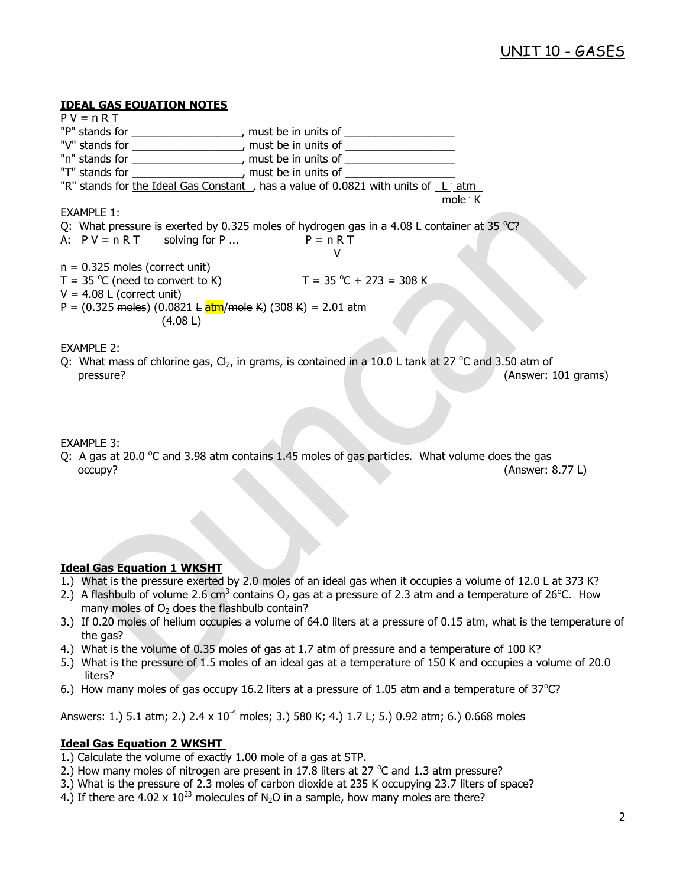### **IDEAL GAS EQUATION NOTES**

| $PV = nRT$                       |                                                            |                                                                                            |                                                                                                                    |
|----------------------------------|------------------------------------------------------------|--------------------------------------------------------------------------------------------|--------------------------------------------------------------------------------------------------------------------|
|                                  |                                                            | "P" stands for _____________________, must be in units of ______________________           |                                                                                                                    |
|                                  |                                                            | "V" stands for ____________________, must be in units of _______________________           |                                                                                                                    |
|                                  |                                                            | "n" stands for ____________________, must be in units of _______________________           |                                                                                                                    |
|                                  | "T" stands for The contract to the must be in units of     |                                                                                            |                                                                                                                    |
|                                  |                                                            | "R" stands for the Ideal Gas Constant, has a value of 0.0821 with units of L: atm          |                                                                                                                    |
|                                  |                                                            |                                                                                            | mole $\cdot$ K                                                                                                     |
| <b>EXAMPLE 1:</b>                |                                                            |                                                                                            |                                                                                                                    |
|                                  |                                                            | Q: What pressure is exerted by 0.325 moles of hydrogen gas in a 4.08 L container at 35 °C? |                                                                                                                    |
|                                  | A: $PV = nRT$ solving for P $P = nRT$                      |                                                                                            |                                                                                                                    |
|                                  |                                                            |                                                                                            |                                                                                                                    |
| $n = 0.325$ moles (correct unit) |                                                            |                                                                                            |                                                                                                                    |
|                                  | $T = 35 \degree C$ (need to convert to K)                  | $T = 35 °C + 273 = 308 K$                                                                  |                                                                                                                    |
| $V = 4.08$ L (correct unit)      |                                                            |                                                                                            |                                                                                                                    |
|                                  | P = (0.325 moles) (0.0821 L atm/mole K) (308 K) = 2.01 atm |                                                                                            |                                                                                                                    |
|                                  | $(4.08 \pm)$                                               |                                                                                            |                                                                                                                    |
|                                  |                                                            |                                                                                            |                                                                                                                    |
| <b>EXAMPLE 2:</b>                |                                                            |                                                                                            |                                                                                                                    |
|                                  |                                                            |                                                                                            | $\Omega$ . What mass of chloring gas. CL, in grams, is contained in a 10.01 tank at 27 $\degree$ C and 3.50 atm of |

 $V$  what mass of chlorine gas,  $U_2$ , in grams, is contained in a C and 3.50 atm of pressure? (Answer: 101 grams)

EXAMPLE 3:

Q: A gas at 20.0  $\degree$ C and 3.98 atm contains 1.45 moles of gas particles. What volume does the gas occupy? (Answer: 8.77 L)

## **Ideal Gas Equation 1 WKSHT**

- 1.) What is the pressure exerted by 2.0 moles of an ideal gas when it occupies a volume of 12.0 L at 373 K?
- 2.) A flashbulb of volume 2.6 cm<sup>3</sup> contains O<sub>2</sub> gas at a pressure of 2.3 atm and a temperature of 26<sup>o</sup>C. How many moles of  $O<sub>2</sub>$  does the flashbulb contain?
- 3.) If 0.20 moles of helium occupies a volume of 64.0 liters at a pressure of 0.15 atm, what is the temperature of the gas?
- 4.) What is the volume of 0.35 moles of gas at 1.7 atm of pressure and a temperature of 100 K?
- 5.) What is the pressure of 1.5 moles of an ideal gas at a temperature of 150 K and occupies a volume of 20.0 liters?
- 6.) How many moles of gas occupy 16.2 liters at a pressure of 1.05 atm and a temperature of  $37^{\circ}$ C?

Answers: 1.) 5.1 atm; 2.) 2.4 x 10<sup>-4</sup> moles; 3.) 580 K; 4.) 1.7 L; 5.) 0.92 atm; 6.) 0.668 moles

### **Ideal Gas Equation 2 WKSHT**

- 1.) Calculate the volume of exactly 1.00 mole of a gas at STP.
- 2.) How many moles of nitrogen are present in 17.8 liters at 27  $^{\circ}$ C and 1.3 atm pressure?
- 3.) What is the pressure of 2.3 moles of carbon dioxide at 235 K occupying 23.7 liters of space?
- 4.) If there are 4.02 x  $10^{23}$  molecules of N<sub>2</sub>O in a sample, how many moles are there?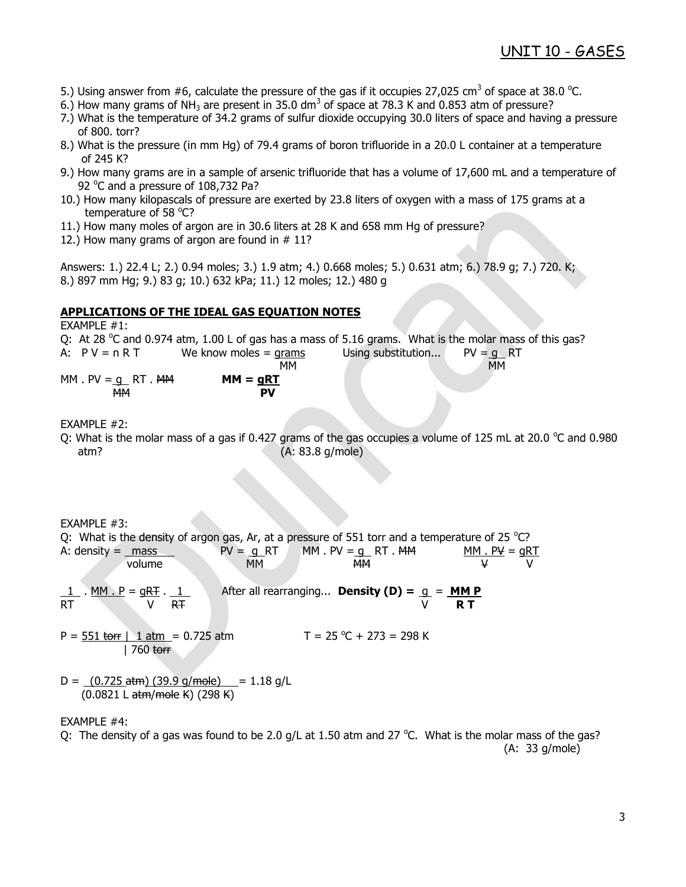- 5.) Using answer from #6, calculate the pressure of the gas if it occupies 27,025 cm<sup>3</sup> of space at 38.0 °C.
- 6.) How many grams of NH<sub>3</sub> are present in 35.0 dm<sup>3</sup> of space at 78.3 K and 0.853 atm of pressure?
- 7.) What is the temperature of 34.2 grams of sulfur dioxide occupying 30.0 liters of space and having a pressure of 800. torr?
- 8.) What is the pressure (in mm Hg) of 79.4 grams of boron trifluoride in a 20.0 L container at a temperature of 245 K?
- 9.) How many grams are in a sample of arsenic trifluoride that has a volume of 17,600 mL and a temperature of 92 °C and a pressure of 108,732 Pa?
- 10.) How many kilopascals of pressure are exerted by 23.8 liters of oxygen with a mass of 175 grams at a temperature of 58 °C?
- 11.) How many moles of argon are in 30.6 liters at 28 K and 658 mm Hg of pressure?
- 12.) How many grams of argon are found in  $# 11$ ?

Answers: 1.) 22.4 L; 2.) 0.94 moles; 3.) 1.9 atm; 4.) 0.668 moles; 5.) 0.631 atm; 6.) 78.9 g; 7.) 720. K; 8.) 897 mm Hg; 9.) 83 g; 10.) 632 kPa; 11.) 12 moles; 12.) 480 g

### **APPLICATIONS OF THE IDEAL GAS EQUATION NOTES**

EXAMPLE #1:

Q: At 28  $^{\circ}$ C and 0.974 atm, 1.00 L of gas has a mass of 5.16 grams. What is the molar mass of this gas? A:  $PV = n RT$  We know moles = grams Using substitution...  $PV = q RT$  MM MM  $MM. PV = q \tRT. MM$   $MM = qRT$ MM **PV**

EXAMPLE #2:

Q: What is the molar mass of a gas if 0.427 grams of the gas occupies a volume of 125 mL at 20.0  $\degree$ C and 0.980 atm? (A: 83.8 g/mole)

EXAMPLE #3: Q: What is the density of argon gas, Ar, at a pressure of 551 torr and a temperature of 25  $^{\circ}$ C? A: density =  $\frac{mass}{PV}$  PV =  $\frac{g}{q}$  RT MM . PV =  $\frac{g}{q}$  RT . MM  $\frac{PM}{MP}$  MM . PV =  $\frac{g}{q}$ volume MM MM <del>MM</del> V V After all rearranging... **Density (D) =**  $q = MM P$  $R \cdot \frac{M M \cdot P}{V} = \frac{qRT}{V} \cdot \frac{1}{RT}$  $P = 551$  torr | 1 atm = 0.725 atm  $T = 25 °C + 273 = 298 K$ 

D =  $(0.725 \text{ atm})$  (39.9 g/mole) = 1.18 g/L

(0.0821 L atm/mole K) (298 K)

| 760 torr

### EXAMPLE #4:

Q: The density of a gas was found to be 2.0 g/L at 1.50 atm and 27  $^{\circ}$ C. What is the molar mass of the gas? (A: 33 g/mole)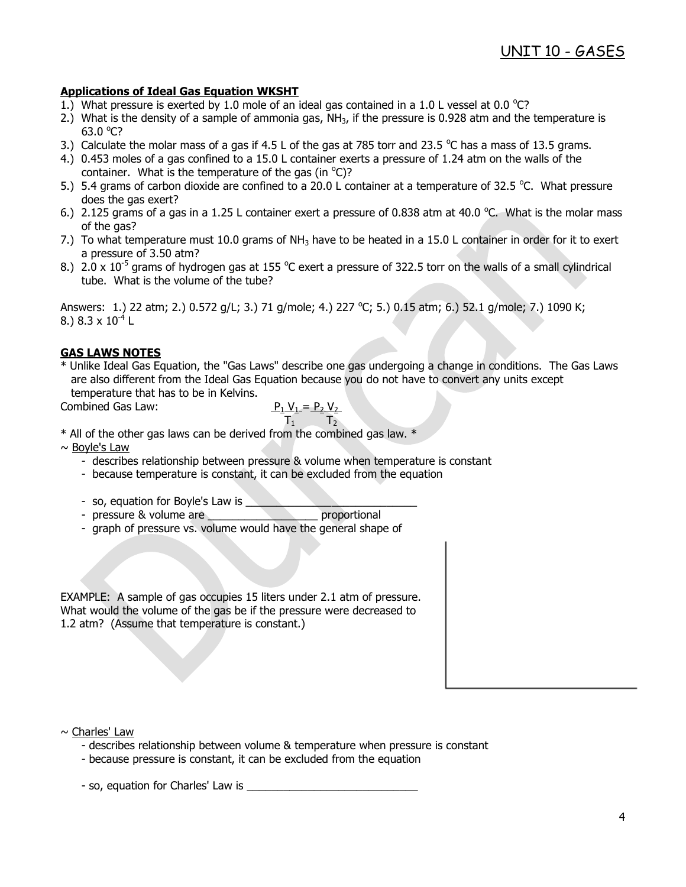## **Applications of Ideal Gas Equation WKSHT**

- 1.) What pressure is exerted by 1.0 mole of an ideal gas contained in a 1.0 L vessel at 0.0 °C?
- 2.) What is the density of a sample of ammonia gas,  $NH<sub>3</sub>$ , if the pressure is 0.928 atm and the temperature is 63.0 $°C$ ?
- 3.) Calculate the molar mass of a gas if 4.5 L of the gas at 785 torr and 23.5  $^{\circ}$ C has a mass of 13.5 grams.
- 4.) 0.453 moles of a gas confined to a 15.0 L container exerts a pressure of 1.24 atm on the walls of the container. What is the temperature of the gas (in  $^{\circ}$ C)?
- 5.) 5.4 grams of carbon dioxide are confined to a 20.0 L container at a temperature of 32.5 °C. What pressure does the gas exert?
- 6.) 2.125 grams of a gas in a 1.25 L container exert a pressure of 0.838 atm at 40.0 °C. What is the molar mass of the gas?
- 7.) To what temperature must 10.0 grams of NH<sub>3</sub> have to be heated in a 15.0 L container in order for it to exert a pressure of 3.50 atm?
- 8.) 2.0 x 10<sup>-5</sup> grams of hydrogen gas at 155 °C exert a pressure of 322.5 torr on the walls of a small cylindrical tube. What is the volume of the tube?

Answers: 1.) 22 atm; 2.) 0.572 g/L; 3.) 71 g/mole; 4.) 227 °C; 5.) 0.15 atm; 6.) 52.1 g/mole; 7.) 1090 K; 8.) 8.3 x  $10^{-4}$  L

### **GAS LAWS NOTES**

\* Unlike Ideal Gas Equation, the "Gas Laws" describe one gas undergoing a change in conditions. The Gas Laws are also different from the Ideal Gas Equation because you do not have to convert any units except temperature that has to be in Kelvins.

Combined Gas Law:

Combined Gas Law: 
$$
\frac{P_1 V_1 = P_2 V_2}{T_1}
$$

\* All of the other gas laws can be derived from the combined gas law. \*

 $\sim$  Boyle's Law

- describes relationship between pressure & volume when temperature is constant
- because temperature is constant, it can be excluded from the equation
- so, equation for Boyle's Law is
- pressure & volume are \_\_\_\_\_\_\_\_\_\_\_\_\_\_\_\_\_\_\_\_\_\_\_ proportional
- graph of pressure vs. volume would have the general shape of

EXAMPLE: A sample of gas occupies 15 liters under 2.1 atm of pressure. What would the volume of the gas be if the pressure were decreased to 1.2 atm? (Assume that temperature is constant.)

### $\sim$  Charles' Law

- describes relationship between volume & temperature when pressure is constant
- because pressure is constant, it can be excluded from the equation

- so, equation for Charles' Law is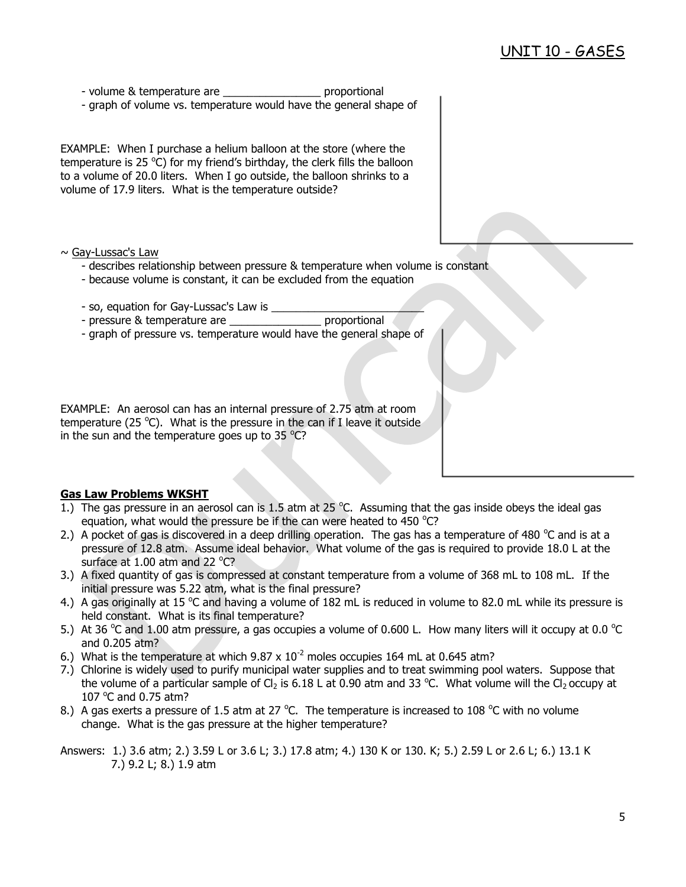- volume & temperature are example to proportional
- graph of volume vs. temperature would have the general shape of

EXAMPLE: When I purchase a helium balloon at the store (where the temperature is 25  $\degree$ C) for my friend's birthday, the clerk fills the balloon to a volume of 20.0 liters. When I go outside, the balloon shrinks to a volume of 17.9 liters. What is the temperature outside?

- ~ Gay-Lussac's Law
	- describes relationship between pressure & temperature when volume is constant
	- because volume is constant, it can be excluded from the equation
	- so, equation for Gay-Lussac's Law is
	- pressure & temperature are \_\_\_\_\_\_\_\_\_\_\_\_\_\_\_\_\_\_\_ proportional
	- graph of pressure vs. temperature would have the general shape of

EXAMPLE: An aerosol can has an internal pressure of 2.75 atm at room temperature (25 $^{\circ}$ C). What is the pressure in the can if I leave it outside in the sun and the temperature goes up to 35  $^{\circ}$ C?

### **Gas Law Problems WKSHT**

- 1.) The gas pressure in an aerosol can is 1.5 atm at 25  $^{\circ}$ C. Assuming that the gas inside obeys the ideal gas equation, what would the pressure be if the can were heated to 450  $^{\circ}$ C?
- 2.) A pocket of gas is discovered in a deep drilling operation. The gas has a temperature of 480  $^{\circ}$ C and is at a pressure of 12.8 atm. Assume ideal behavior. What volume of the gas is required to provide 18.0 L at the surface at  $1.00$  atm and 22 °C?
- 3.) A fixed quantity of gas is compressed at constant temperature from a volume of 368 mL to 108 mL. If the initial pressure was 5.22 atm, what is the final pressure?
- 4.) A gas originally at 15 °C and having a volume of 182 mL is reduced in volume to 82.0 mL while its pressure is held constant. What is its final temperature?
- 5.) At 36 °C and 1.00 atm pressure, a gas occupies a volume of 0.600 L. How many liters will it occupy at 0.0 °C and 0.205 atm?
- 6.) What is the temperature at which  $9.87 \times 10^{-2}$  moles occupies 164 mL at 0.645 atm?
- 7.) Chlorine is widely used to purify municipal water supplies and to treat swimming pool waters. Suppose that the volume of a particular sample of  $Cl_2$  is 6.18 L at 0.90 atm and 33 °C. What volume will the  $Cl_2$  occupy at 107 $\degree$ C and 0.75 atm?
- 8.) A gas exerts a pressure of 1.5 atm at 27 °C. The temperature is increased to 108 °C with no volume change. What is the gas pressure at the higher temperature?

Answers: 1.) 3.6 atm; 2.) 3.59 L or 3.6 L; 3.) 17.8 atm; 4.) 130 K or 130. K; 5.) 2.59 L or 2.6 L; 6.) 13.1 K 7.) 9.2 L; 8.) 1.9 atm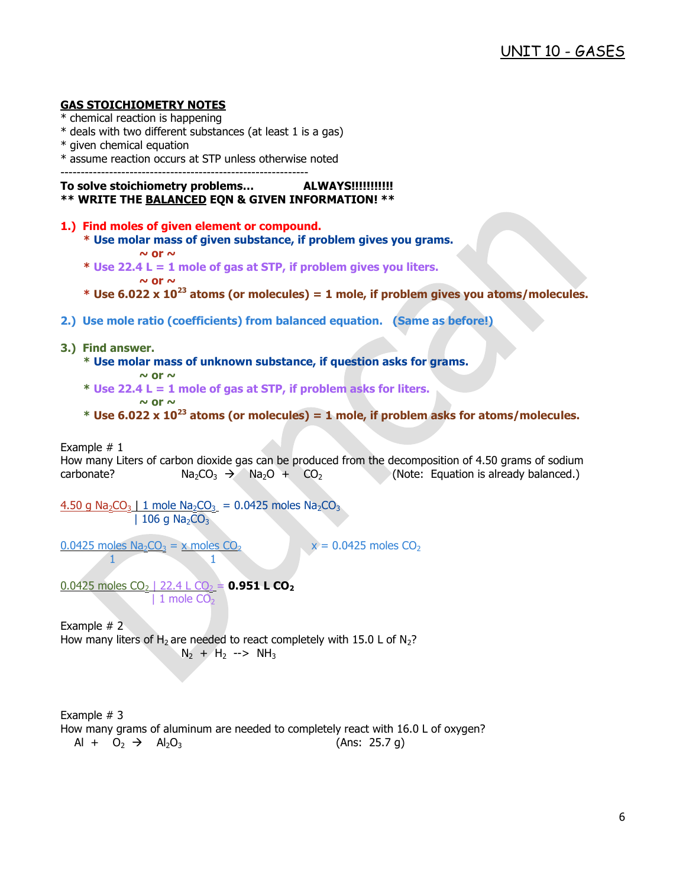## **GAS STOICHIOMETRY NOTES**

- \* chemical reaction is happening
- \* deals with two different substances (at least 1 is a gas)
- \* given chemical equation
- \* assume reaction occurs at STP unless otherwise noted

-------------------------------------------------------------

## **To solve stoichiometry problems… ALWAYS!!!!!!!!!!!**

**\*\* WRITE THE BALANCED EQN & GIVEN INFORMATION! \*\***

- **1.) Find moles of given element or compound.**
	- **\* Use molar mass of given substance, if problem gives you grams.**
		- $\sim$  or  $\sim$
	- **\* Use 22.4 L = 1 mole of gas at STP, if problem gives you liters.**  $\sim$  or  $\sim$
	- **\* Use 6.022 x 10<sup>23</sup> atoms (or molecules) = 1 mole, if problem gives you atoms/molecules.**
- **2.) Use mole ratio (coefficients) from balanced equation. (Same as before!)**
- **3.) Find answer.**
	- **\* Use molar mass of unknown substance, if question asks for grams.**  $\sim$  or  $\sim$
	- **\* Use 22.4 L = 1 mole of gas at STP, if problem asks for liters.**  $\sim$  or  $\sim$
	- **\* Use 6.022 x 10<sup>23</sup> atoms (or molecules) = 1 mole, if problem asks for atoms/molecules.**

Example  $# 1$ 

How many Liters of carbon dioxide gas can be produced from the decomposition of 4.50 grams of sodium carbonate?  $Na_2CO_3 \rightarrow Na_2O + CO_2$  (Note: Equation is already balanced.)

```
4.50 g Na<sub>2</sub>CO<sub>3</sub> | 1 mole Na<sub>2</sub>CO<sub>3</sub> = 0.0425 moles Na<sub>2</sub>CO<sub>3</sub>
                              | 106 g Na<sub>2</sub>CO<sub>3</sub>
```
 $0.0425$  moles Na<sub>2</sub>CO<sub>3</sub> = x moles CO<sub>2</sub> x = 0.0425 moles CO<sub>2</sub>

1 1

 $0.0425$  moles CO<sub>2</sub> | 22.4 L CO<sub>2</sub> = **0.951 L CO<sub>2</sub>**  $| 1$  mole  $CO<sub>2</sub>$ 

Example # 2 How many liters of  $H_2$  are needed to react completely with 15.0 L of  $N_2$ ?  $N_2$  + H<sub>2</sub> --> NH<sub>3</sub>

Example # 3 How many grams of aluminum are needed to completely react with 16.0 L of oxygen?  $Al + O_2 \rightarrow Al_2O_3$  (Ans: 25.7 g)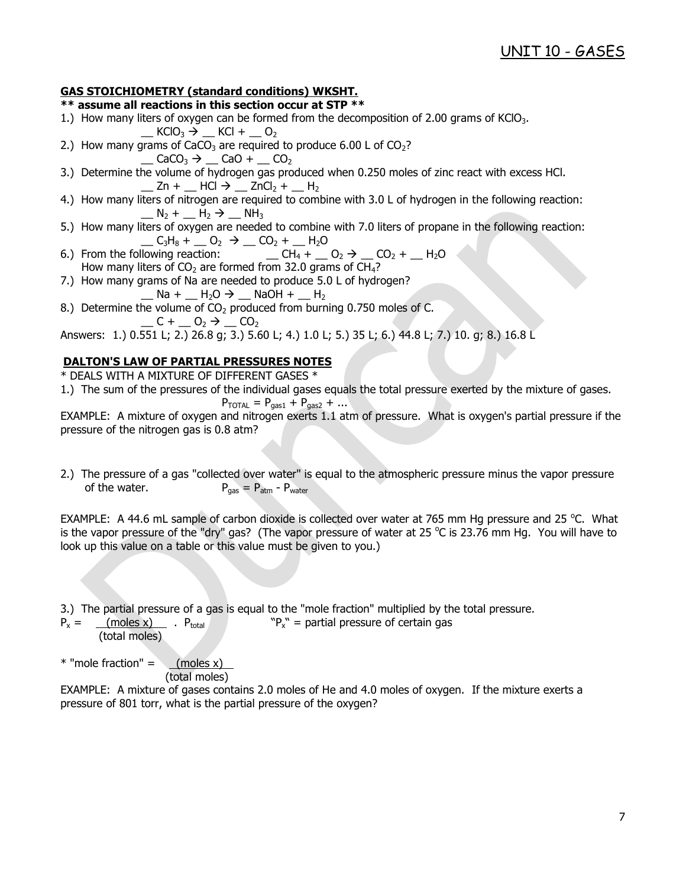## **GAS STOICHIOMETRY (standard conditions) WKSHT.**

## **\*\* assume all reactions in this section occur at STP \*\***

- 1.) How many liters of oxygen can be formed from the decomposition of 2.00 grams of KClO<sub>3</sub>.
- $KClO_3 \rightarrow KCl + O_2$ 2.) How many grams of CaCO<sub>3</sub> are required to produce 6.00 L of CO<sub>2</sub>?
	- $\Box$  CaCO<sub>3</sub>  $\rightarrow$   $\Box$  CaO +  $\Box$  CO<sub>2</sub>
- 3.) Determine the volume of hydrogen gas produced when 0.250 moles of zinc react with excess HCl.  $Zn + HCl \rightarrow ZnCl_2 + H_2$
- 4.) How many liters of nitrogen are required to combine with 3.0 L of hydrogen in the following reaction:  $\Box$  N<sub>2</sub> +  $\Box$  H<sub>2</sub>  $\rightarrow$   $\Box$  NH<sub>3</sub>
- 5.) How many liters of oxygen are needed to combine with 7.0 liters of propane in the following reaction:  $C_3H_8 + Q_2 \rightarrow Q_2 + Q_1H_2O$
- 6.) From the following reaction:  $\overline{C} = \overline{CH_4 + \overline{O_2 + \overline{CO_2 + \overline{O_1 + \overline{CO_2 + \overline{CO_2 + \overline{CO_3 + \overline{CO_3 + \overline{CO_3 + \overline{CO_3 + \overline{CO_3 + \overline{CO_3 + \overline{CO_3 + \overline{CO_3 + \overline{CO_3 + \overline{CO_3 + \overline{CO_3 + \overline{CO_3 + \overline{CO_3 + \overline{CO_3 + \overline{CO_3 + \overline{CO_3 + \overline{$ How many liters of  $CO<sub>2</sub>$  are formed from 32.0 grams of  $CH<sub>4</sub>$ ?
- 7.) How many grams of Na are needed to produce 5.0 L of hydrogen?
	- $\underline{\hspace{1em}}$  Na +  $\underline{\hspace{1em}}$  H<sub>2</sub>O  $\rightarrow$   $\underline{\hspace{1em}}$  NaOH +  $\underline{\hspace{1em}}$  H<sub>2</sub>
- 8.) Determine the volume of  $CO<sub>2</sub>$  produced from burning 0.750 moles of C.  $C + C_2 \rightarrow C_2$

Answers: 1.) 0.551 L; 2.) 26.8 g; 3.) 5.60 L; 4.) 1.0 L; 5.) 35 L; 6.) 44.8 L; 7.) 10. g; 8.) 16.8 L

## **DALTON'S LAW OF PARTIAL PRESSURES NOTES**

\* DEALS WITH A MIXTURE OF DIFFERENT GASES \*

1.) The sum of the pressures of the individual gases equals the total pressure exerted by the mixture of gases.

$$
P_{\text{TOTAL}} = P_{\text{gas1}} + P_{\text{gas2}} + \dots
$$

EXAMPLE: A mixture of oxygen and nitrogen exerts 1.1 atm of pressure. What is oxygen's partial pressure if the pressure of the nitrogen gas is 0.8 atm?

2.) The pressure of a gas "collected over water" is equal to the atmospheric pressure minus the vapor pressure of the water.  $P_{\text{gas}} = P_{\text{atm}} - P_{\text{water}}$ 

EXAMPLE: A 44.6 mL sample of carbon dioxide is collected over water at 765 mm Hg pressure and 25 °C. What is the vapor pressure of the "dry" gas? (The vapor pressure of water at 25  $^{\circ}$ C is 23.76 mm Hg. You will have to look up this value on a table or this value must be given to you.)

3.) The partial pressure of a gas is equal to the "mole fraction" multiplied by the total pressure.

 $P_x =$  (moles x)  $P_{total}$  $P_{x}$ " = partial pressure of certain gas (total moles)

 $*$  "mole fraction" =  $(moles x)$ (total moles)

EXAMPLE: A mixture of gases contains 2.0 moles of He and 4.0 moles of oxygen. If the mixture exerts a pressure of 801 torr, what is the partial pressure of the oxygen?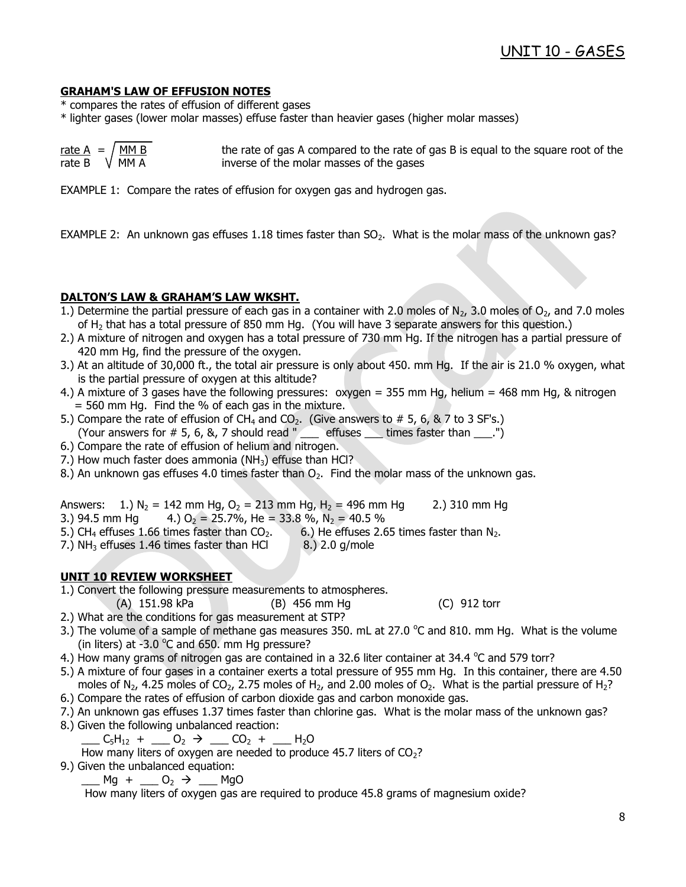### **GRAHAM'S LAW OF EFFUSION NOTES**

- \* compares the rates of effusion of different gases
- \* lighter gases (lower molar masses) effuse faster than heavier gases (higher molar masses)

| <u>rate A</u> = $/MM_B$ | the rate of gas A compared to the rate of gas B is equal to the square root of the |
|-------------------------|------------------------------------------------------------------------------------|
| rate B $\sqrt{MMA}$     | inverse of the molar masses of the gases                                           |

EXAMPLE 1: Compare the rates of effusion for oxygen gas and hydrogen gas.

EXAMPLE 2: An unknown gas effuses 1.18 times faster than  $SO<sub>2</sub>$ . What is the molar mass of the unknown gas?

### **DALTON'S LAW & GRAHAM'S LAW WKSHT.**

- 1.) Determine the partial pressure of each gas in a container with 2.0 moles of  $N_2$ , 3.0 moles of  $O_2$ , and 7.0 moles of H<sup>2</sup> that has a total pressure of 850 mm Hg. (You will have 3 separate answers for this question.)
- 2.) A mixture of nitrogen and oxygen has a total pressure of 730 mm Hg. If the nitrogen has a partial pressure of 420 mm Hg, find the pressure of the oxygen.
- 3.) At an altitude of 30,000 ft., the total air pressure is only about 450. mm Hg. If the air is 21.0 % oxygen, what is the partial pressure of oxygen at this altitude?
- 4.) A mixture of 3 gases have the following pressures: oxygen = 355 mm Hg, helium = 468 mm Hg, & nitrogen  $= 560$  mm Hg. Find the % of each gas in the mixture.
- 5.) Compare the rate of effusion of CH<sub>4</sub> and CO<sub>2</sub>. (Give answers to # 5, 6, & 7 to 3 SF's.) (Your answers for  $\#$  5, 6, 8, 7 should read " effuses  $\_\_$  times faster than  $\_\_$ .")
- 6.) Compare the rate of effusion of helium and nitrogen.
- 7.) How much faster does ammonia (NH $_3$ ) effuse than HCl?
- 8.) An unknown gas effuses 4.0 times faster than  $O_2$ . Find the molar mass of the unknown gas.

Answers: 1.) N<sub>2</sub> = 142 mm Hg, O<sub>2</sub> = 213 mm Hg, H<sub>2</sub> = 496 mm Hg 2.) 310 mm Hg

3.) 94.5 mm Hg 4.)  $O_2 = 25.7\%$ , He = 33.8 %, N<sub>2</sub> = 40.5 %

- 5.) CH<sub>4</sub> effuses 1.66 times faster than  $CO<sub>2</sub>$ . 6.) He effuses 2.65 times faster than N<sub>2</sub>.
- 7.) NH<sub>3</sub> effuses 1.46 times faster than HCl  $\qquad 8.$ ) 2.0 g/mole

### **UNIT 10 REVIEW WORKSHEET**

- 1.) Convert the following pressure measurements to atmospheres.
	- (A) 151.98 kPa (B) 456 mm Hg (C) 912 torr
- 2.) What are the conditions for gas measurement at STP?
- 3.) The volume of a sample of methane gas measures 350. mL at 27.0  $^{\circ}$ C and 810. mm Hg. What is the volume (in liters) at -3.0  $\degree$ C and 650. mm Hg pressure?
- 4.) How many grams of nitrogen gas are contained in a 32.6 liter container at 34.4  $\degree$ C and 579 torr?
- 5.) A mixture of four gases in a container exerts a total pressure of 955 mm Hg. In this container, there are 4.50 moles of N<sub>2</sub>, 4.25 moles of CO<sub>2</sub>, 2.75 moles of H<sub>2</sub>, and 2.00 moles of O<sub>2</sub>. What is the partial pressure of H<sub>2</sub>?
- 6.) Compare the rates of effusion of carbon dioxide gas and carbon monoxide gas.
- 7.) An unknown gas effuses 1.37 times faster than chlorine gas. What is the molar mass of the unknown gas?
- 8.) Given the following unbalanced reaction:

 $C_5H_{12} + \underline{\hspace{1cm}} O_2 \rightarrow \underline{\hspace{1cm}} CO_2 + \underline{\hspace{1cm}} H_2O$ 

How many liters of oxygen are needed to produce 45.7 liters of  $CO<sub>2</sub>$ ?

9.) Given the unbalanced equation:

 $Mg + \underline{\hspace{1cm}} 0_2 \rightarrow \underline{\hspace{1cm}} Mg$ 

How many liters of oxygen gas are required to produce 45.8 grams of magnesium oxide?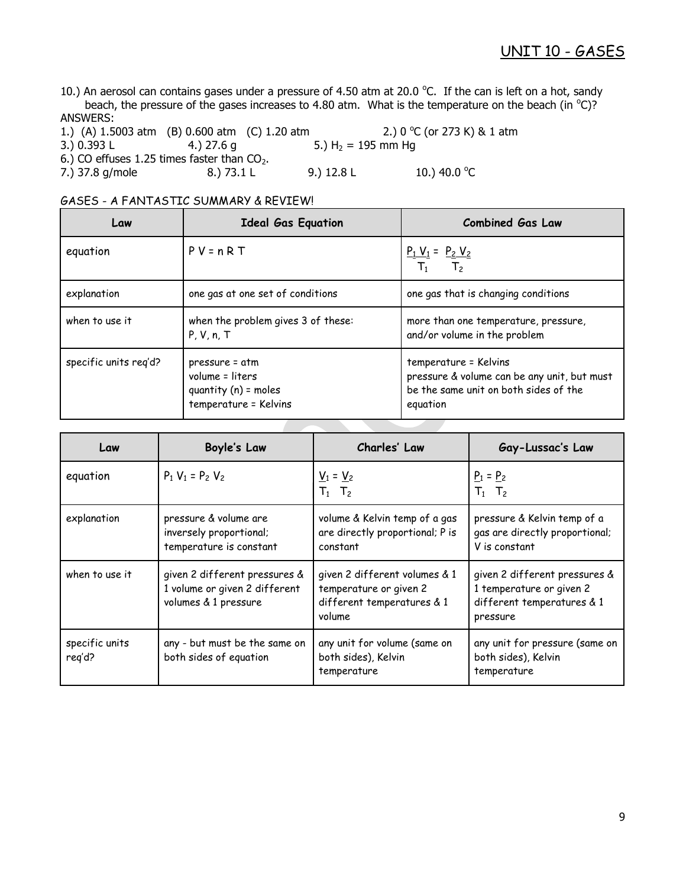10.) An aerosol can contains gases under a pressure of 4.50 atm at 20.0 °C. If the can is left on a hot, sandy beach, the pressure of the gases increases to 4.80 atm. What is the temperature on the beach (in  $^{\circ}$ C)? ANSWERS:

1.) (A) 1.5003 atm (B) 0.600 atm (C) 1.20 atm 2.) 0 °C (or 273 K) & 1 atm 3.) 0.393 L 4.) 27.6 g 5.)  $H_2 = 195$  mm Hg 6.) CO effuses 1.25 times faster than  $CO<sub>2</sub>$ .<br>
7.) 37.8 g/mole 8.) 73.1 L 7.) 37.8 g/mole 8.) 73.1 L 9.) 12.8 L 10.) 40.0  $^{\circ}$ C

| Law                   | <b>Ideal Gas Equation</b>                                                            | <b>Combined Gas Law</b>                                                                                                   |  |  |  |  |  |  |
|-----------------------|--------------------------------------------------------------------------------------|---------------------------------------------------------------------------------------------------------------------------|--|--|--|--|--|--|
| equation              | $P V = n R T$                                                                        | $\frac{P_1 V_1}{T_1} = \frac{P_2 V_2}{T_2}$                                                                               |  |  |  |  |  |  |
| explanation           | one gas at one set of conditions                                                     | one gas that is changing conditions                                                                                       |  |  |  |  |  |  |
| when to use it        | when the problem gives 3 of these:<br>P, V, n, T                                     | more than one temperature, pressure,<br>and/or volume in the problem                                                      |  |  |  |  |  |  |
| specific units reg'd? | pressure = atm<br>volume = liters<br>quantity $(n)$ = moles<br>temperature = Kelvins | temperature = Kelvins<br>pressure & volume can be any unit, but must<br>be the same unit on both sides of the<br>equation |  |  |  |  |  |  |

## GASES - A FANTASTIC SUMMARY & REVIEW!

| Law                      | Boyle's Law                                                                            | Charles' Law                                                                                    | Gay-Lussac's Law                                                                                    |
|--------------------------|----------------------------------------------------------------------------------------|-------------------------------------------------------------------------------------------------|-----------------------------------------------------------------------------------------------------|
| equation                 | $P_1 V_1 = P_2 V_2$                                                                    | $V_1 = V_2$<br>$T_1$ $T_2$                                                                      | $P_1 = P_2$<br>$T_1$ $T_2$                                                                          |
| explanation              | pressure & volume are<br>inversely proportional;<br>temperature is constant            | volume & Kelvin temp of a gas<br>are directly proportional; P is<br>constant                    | pressure & Kelvin temp of a<br>gas are directly proportional;<br>V is constant                      |
| when to use it           | given 2 different pressures &<br>1 volume or given 2 different<br>volumes & 1 pressure | given 2 different volumes & 1<br>temperature or given 2<br>different temperatures & 1<br>volume | given 2 different pressures &<br>1 temperature or given 2<br>different temperatures & 1<br>pressure |
| specific units<br>reg'd? | any - but must be the same on<br>both sides of equation                                | any unit for volume (same on<br>both sides), Kelvin<br>temperature                              | any unit for pressure (same on<br>both sides), Kelvin<br>temperature                                |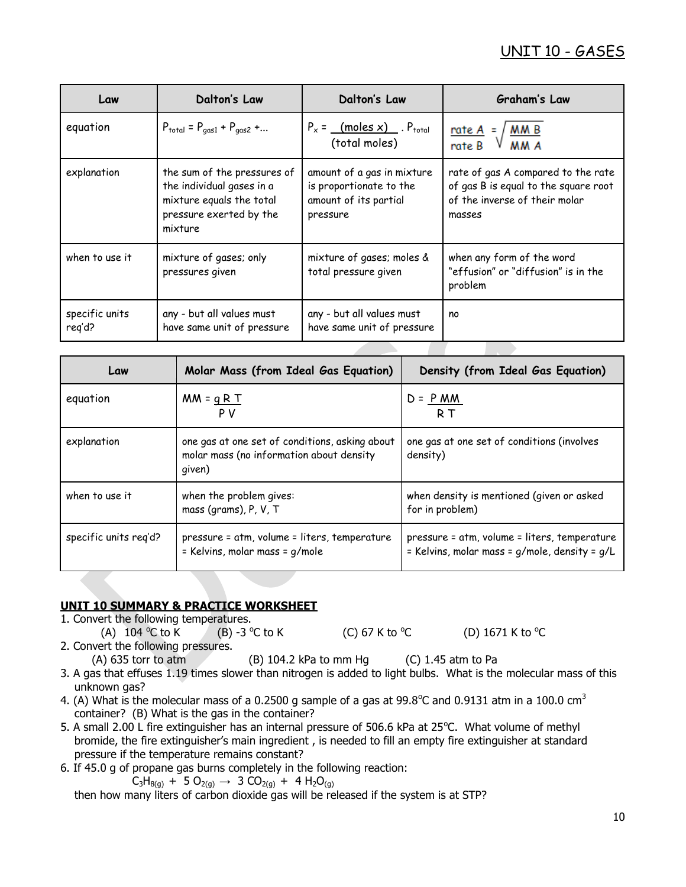# UNIT 10 - GASES

| Law                      | <b>Dalton's Law</b>                                                                                                        | Dalton's Law                                                                               | <b>Graham's Law</b>                                                                                                   |  |  |  |  |  |  |
|--------------------------|----------------------------------------------------------------------------------------------------------------------------|--------------------------------------------------------------------------------------------|-----------------------------------------------------------------------------------------------------------------------|--|--|--|--|--|--|
| equation                 | $P_{\text{total}} = P_{\text{gas1}} + P_{\text{gas2}} + $                                                                  | $P_x =$ (moles x) $P_{total}$<br>(total moles)                                             | $rac{\text{rate A}}{\text{rate B}} = \sqrt{\frac{\text{M M B}}{\text{M M A}}}$                                        |  |  |  |  |  |  |
| explanation              | the sum of the pressures of<br>the individual gases in a<br>mixture equals the total<br>pressure exerted by the<br>mixture | amount of a gas in mixture<br>is proportionate to the<br>amount of its partial<br>pressure | rate of gas A compared to the rate<br>of gas B is equal to the square root<br>of the inverse of their molar<br>masses |  |  |  |  |  |  |
| when to use it           | mixture of gases; only<br>pressures given                                                                                  | mixture of gases; moles &<br>total pressure given                                          | when any form of the word<br>"effusion" or "diffusion" is in the<br>problem                                           |  |  |  |  |  |  |
| specific units<br>reg'd? | any - but all values must<br>have same unit of pressure                                                                    | any - but all values must<br>have same unit of pressure                                    | no                                                                                                                    |  |  |  |  |  |  |

| Law                   | Molar Mass (from Ideal Gas Equation)                                                                 | Density (from Ideal Gas Equation)                                                             |
|-----------------------|------------------------------------------------------------------------------------------------------|-----------------------------------------------------------------------------------------------|
| equation              | $MN = qRT$<br>P V                                                                                    | $D = P$ MM<br>R T                                                                             |
| explanation           | one gas at one set of conditions, asking about<br>molar mass (no information about density<br>given) | one gas at one set of conditions (involves<br>density)                                        |
| when to use it        | when the problem gives:<br>mass (grams), P, V, T                                                     | when density is mentioned (given or asked<br>for in problem)                                  |
| specific units reg'd? | pressure = atm, volume = liters, temperature<br>= Kelvins, molar mass = g/mole                       | pressure = atm, volume = liters, temperature<br>= Kelvins, molar mass = g/mole, density = g/L |

## **UNIT 10 SUMMARY & PRACTICE WORKSHEET**

1. Convert the following temperatures.

(A)  $104^{\circ}$ C to K  $(B)$  -3 °C to K (C) 67 K to  $\mathrm{C}$ C (D)  $1671$  K to  $^{\circ}$ C

2. Convert the following pressures.

(A) 635 torr to atm (B) 104.2 kPa to mm Hg (C) 1.45 atm to Pa

- 3. A gas that effuses 1.19 times slower than nitrogen is added to light bulbs. What is the molecular mass of this unknown gas?
- 4. (A) What is the molecular mass of a 0.2500 g sample of a gas at 99.8°C and 0.9131 atm in a 100.0 cm<sup>3</sup> container? (B) What is the gas in the container?
- 5. A small 2.00 L fire extinguisher has an internal pressure of 506.6 kPa at 25°C. What volume of methyl bromide, the fire extinguisher's main ingredient , is needed to fill an empty fire extinguisher at standard pressure if the temperature remains constant?
- 6. If 45.0 g of propane gas burns completely in the following reaction:

 $C_3H_{8(q)} + 5 O_{2(q)} \rightarrow 3 CO_{2(q)} + 4 H_2O_{(q)}$ 

then how many liters of carbon dioxide gas will be released if the system is at STP?